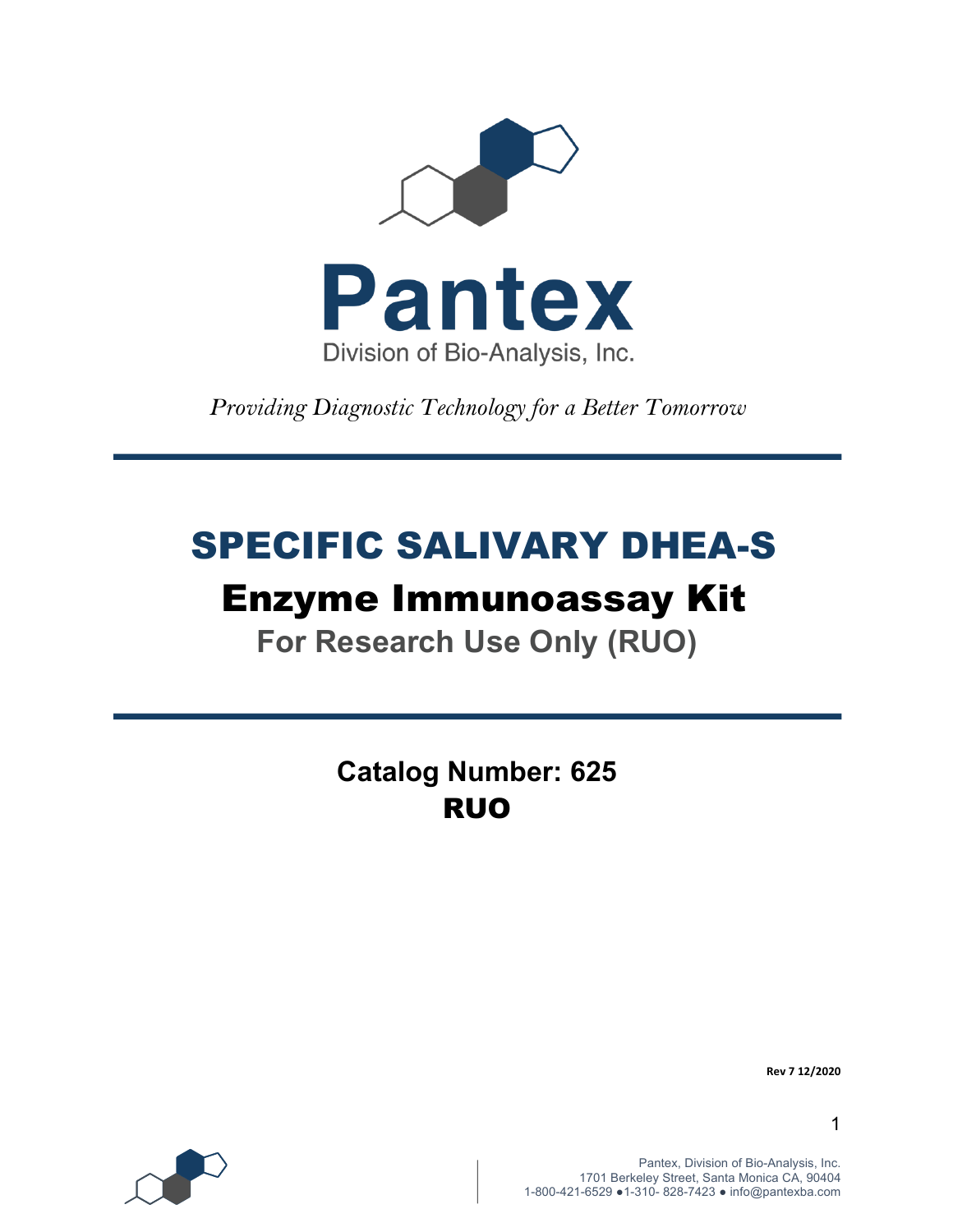

*Providing Diagnostic Technology for a Better Tomorrow* 

# SPECIFIC SALIVARY DHEA-S

# Enzyme Immunoassay Kit

**For Research Use Only (RUO)**

**Catalog Number: 625** RUO



**Rev 7 12/2020**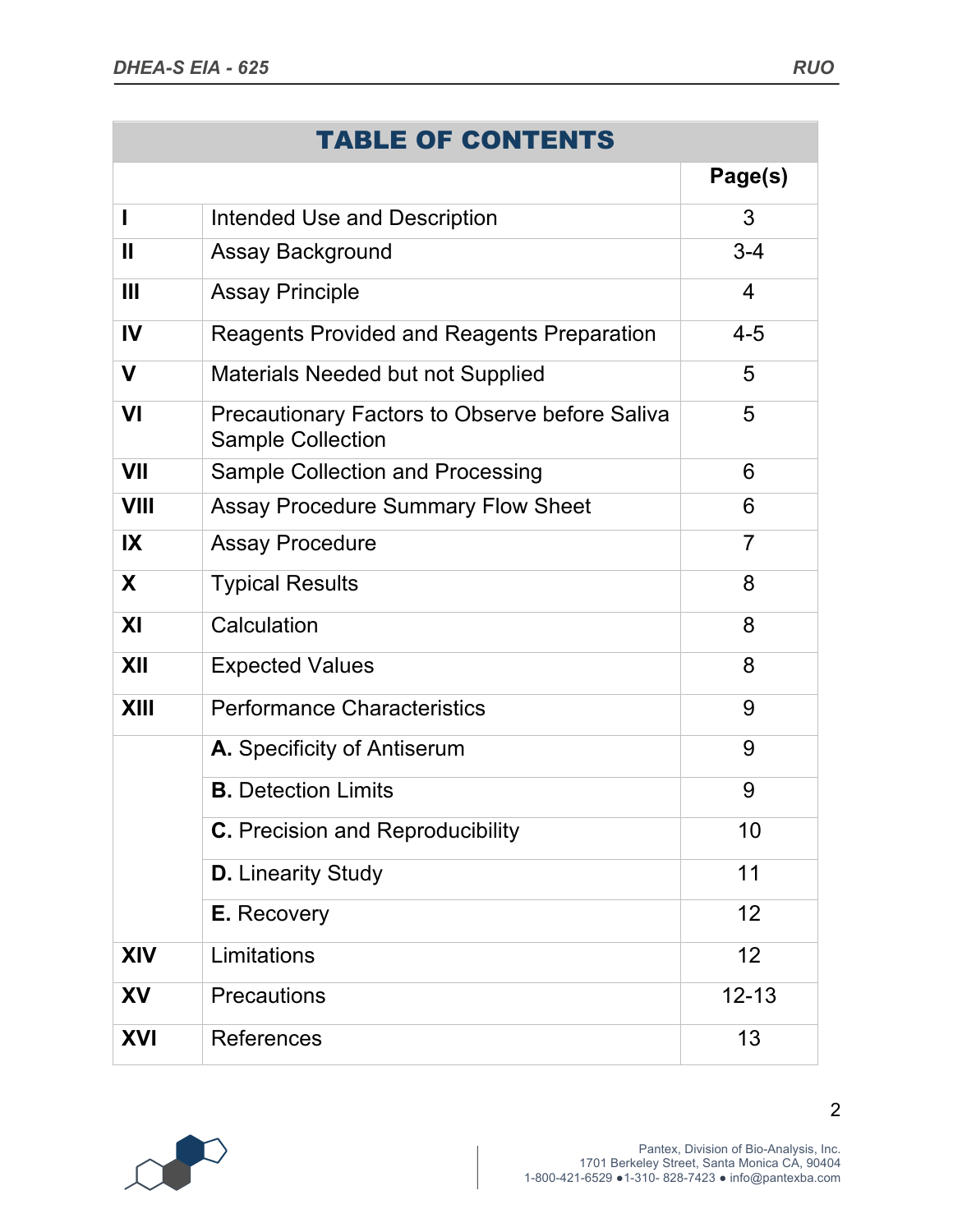|              | <b>TABLE OF CONTENTS</b>                                                          |                |
|--------------|-----------------------------------------------------------------------------------|----------------|
|              |                                                                                   | Page(s)        |
| ı            | <b>Intended Use and Description</b>                                               | 3              |
| $\mathbf{I}$ | Assay Background                                                                  | $3 - 4$        |
| Ш            | <b>Assay Principle</b>                                                            | $\overline{4}$ |
| IV           | <b>Reagents Provided and Reagents Preparation</b>                                 | $4 - 5$        |
| V            | Materials Needed but not Supplied                                                 | 5              |
| VI           | <b>Precautionary Factors to Observe before Saliva</b><br><b>Sample Collection</b> | 5              |
| <b>VII</b>   | Sample Collection and Processing                                                  | 6              |
| <b>VIII</b>  | <b>Assay Procedure Summary Flow Sheet</b>                                         | 6              |
| IX           | <b>Assay Procedure</b>                                                            | 7              |
| X            | <b>Typical Results</b>                                                            | 8              |
| XI           | Calculation                                                                       | 8              |
| XII          | <b>Expected Values</b>                                                            | 8              |
| <b>XIII</b>  | <b>Performance Characteristics</b>                                                | 9              |
|              | A. Specificity of Antiserum                                                       | 9              |
|              | <b>B.</b> Detection Limits                                                        | 9              |
|              | <b>C.</b> Precision and Reproducibility                                           | 10             |
|              | <b>D.</b> Linearity Study                                                         | 11             |
|              | <b>E.</b> Recovery                                                                | 12             |
| <b>XIV</b>   | Limitations                                                                       | 12             |
| <b>XV</b>    | <b>Precautions</b>                                                                | $12 - 13$      |
| <b>XVI</b>   | <b>References</b>                                                                 | 13             |

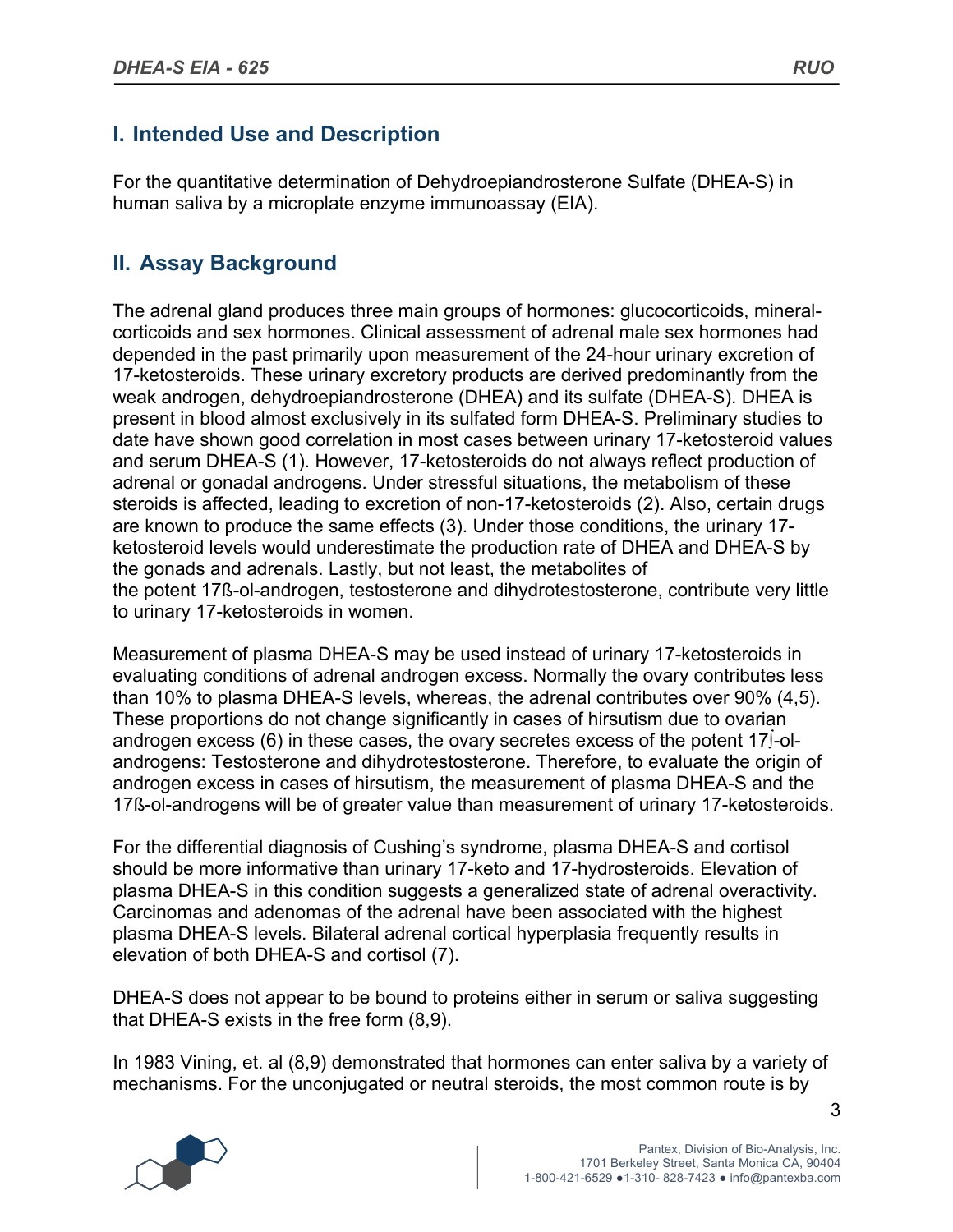# **I. Intended Use and Description**

For the quantitative determination of Dehydroepiandrosterone Sulfate (DHEA-S) in human saliva by a microplate enzyme immunoassay (EIA).

# **II. Assay Background**

The adrenal gland produces three main groups of hormones: glucocorticoids, mineralcorticoids and sex hormones. Clinical assessment of adrenal male sex hormones had depended in the past primarily upon measurement of the 24-hour urinary excretion of 17-ketosteroids. These urinary excretory products are derived predominantly from the weak androgen, dehydroepiandrosterone (DHEA) and its sulfate (DHEA-S). DHEA is present in blood almost exclusively in its sulfated form DHEA-S. Preliminary studies to date have shown good correlation in most cases between urinary 17-ketosteroid values and serum DHEA-S (1). However, 17-ketosteroids do not always reflect production of adrenal or gonadal androgens. Under stressful situations, the metabolism of these steroids is affected, leading to excretion of non-17-ketosteroids (2). Also, certain drugs are known to produce the same effects (3). Under those conditions, the urinary 17 ketosteroid levels would underestimate the production rate of DHEA and DHEA-S by the gonads and adrenals. Lastly, but not least, the metabolites of the potent 17ß-ol-androgen, testosterone and dihydrotestosterone, contribute very little to urinary 17-ketosteroids in women.

Measurement of plasma DHEA-S may be used instead of urinary 17-ketosteroids in evaluating conditions of adrenal androgen excess. Normally the ovary contributes less than 10% to plasma DHEA-S levels, whereas, the adrenal contributes over 90% (4,5). These proportions do not change significantly in cases of hirsutism due to ovarian androgen excess (6) in these cases, the ovary secretes excess of the potent 17∫-olandrogens: Testosterone and dihydrotestosterone. Therefore, to evaluate the origin of androgen excess in cases of hirsutism, the measurement of plasma DHEA-S and the 17ß-ol-androgens will be of greater value than measurement of urinary 17-ketosteroids.

For the differential diagnosis of Cushing's syndrome, plasma DHEA-S and cortisol should be more informative than urinary 17-keto and 17-hydrosteroids. Elevation of plasma DHEA-S in this condition suggests a generalized state of adrenal overactivity. Carcinomas and adenomas of the adrenal have been associated with the highest plasma DHEA-S levels. Bilateral adrenal cortical hyperplasia frequently results in elevation of both DHEA-S and cortisol (7).

DHEA-S does not appear to be bound to proteins either in serum or saliva suggesting that DHEA-S exists in the free form (8,9).

In 1983 Vining, et. al (8,9) demonstrated that hormones can enter saliva by a variety of mechanisms. For the unconjugated or neutral steroids, the most common route is by

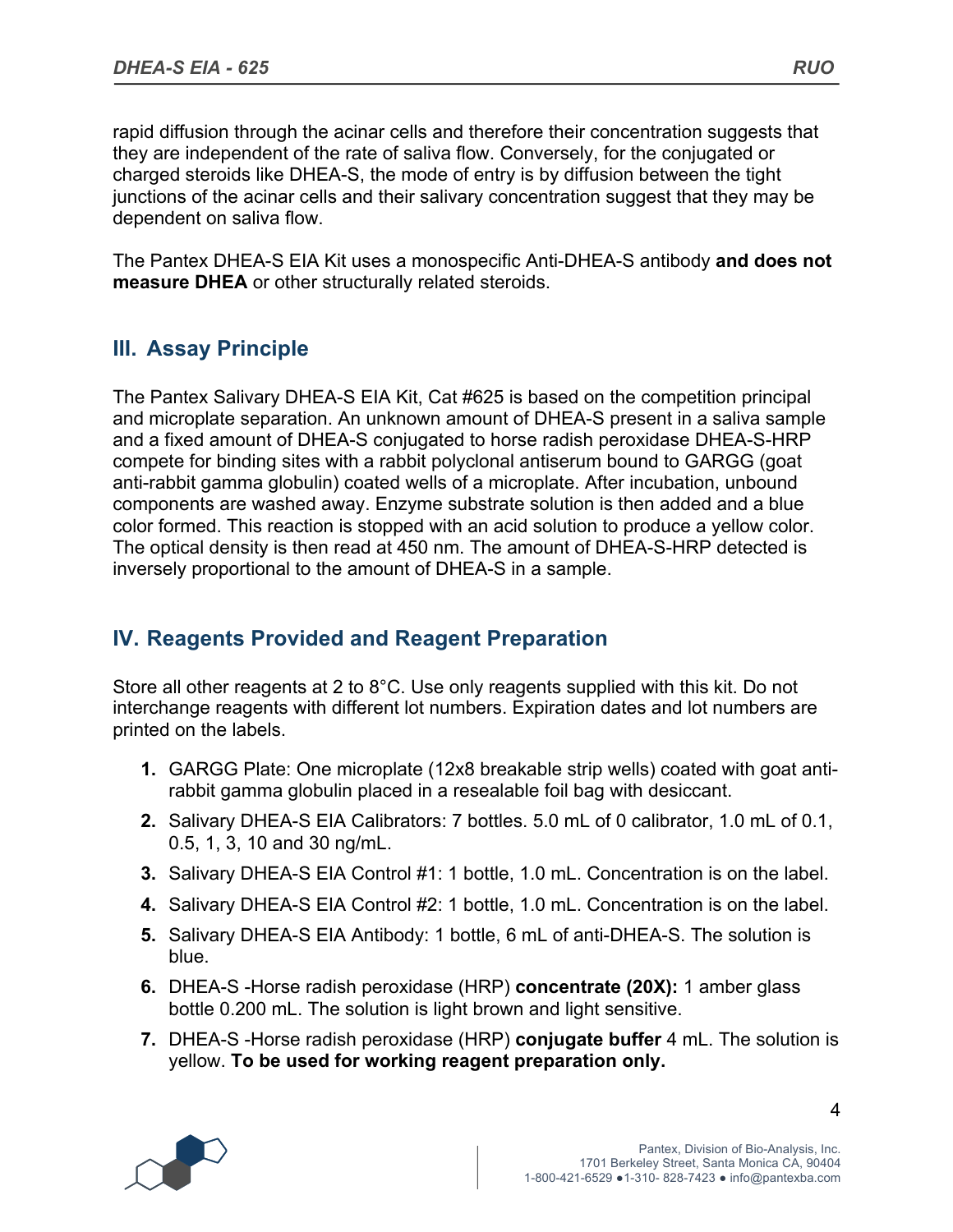rapid diffusion through the acinar cells and therefore their concentration suggests that they are independent of the rate of saliva flow. Conversely, for the conjugated or charged steroids like DHEA-S, the mode of entry is by diffusion between the tight junctions of the acinar cells and their salivary concentration suggest that they may be dependent on saliva flow.

The Pantex DHEA-S EIA Kit uses a monospecific Anti-DHEA-S antibody **and does not measure DHEA** or other structurally related steroids.

### **III. Assay Principle**

The Pantex Salivary DHEA-S EIA Kit, Cat #625 is based on the competition principal and microplate separation. An unknown amount of DHEA-S present in a saliva sample and a fixed amount of DHEA-S conjugated to horse radish peroxidase DHEA-S-HRP compete for binding sites with a rabbit polyclonal antiserum bound to GARGG (goat anti-rabbit gamma globulin) coated wells of a microplate. After incubation, unbound components are washed away. Enzyme substrate solution is then added and a blue color formed. This reaction is stopped with an acid solution to produce a yellow color. The optical density is then read at 450 nm. The amount of DHEA-S-HRP detected is inversely proportional to the amount of DHEA-S in a sample.

### **IV. Reagents Provided and Reagent Preparation**

Store all other reagents at 2 to 8°C. Use only reagents supplied with this kit. Do not interchange reagents with different lot numbers. Expiration dates and lot numbers are printed on the labels.

- **1.** GARGG Plate: One microplate (12x8 breakable strip wells) coated with goat antirabbit gamma globulin placed in a resealable foil bag with desiccant.
- **2.** Salivary DHEA-S EIA Calibrators: 7 bottles. 5.0 mL of 0 calibrator, 1.0 mL of 0.1, 0.5, 1, 3, 10 and 30 ng/mL.
- **3.** Salivary DHEA-S EIA Control #1: 1 bottle, 1.0 mL. Concentration is on the label.
- **4.** Salivary DHEA-S EIA Control #2: 1 bottle, 1.0 mL. Concentration is on the label.
- **5.** Salivary DHEA-S EIA Antibody: 1 bottle, 6 mL of anti-DHEA-S. The solution is blue.
- **6.** DHEA-S -Horse radish peroxidase (HRP) **concentrate (20X):** 1 amber glass bottle 0.200 mL. The solution is light brown and light sensitive.
- **7.** DHEA-S -Horse radish peroxidase (HRP) **conjugate buffer** 4 mL. The solution is yellow. **To be used for working reagent preparation only.**

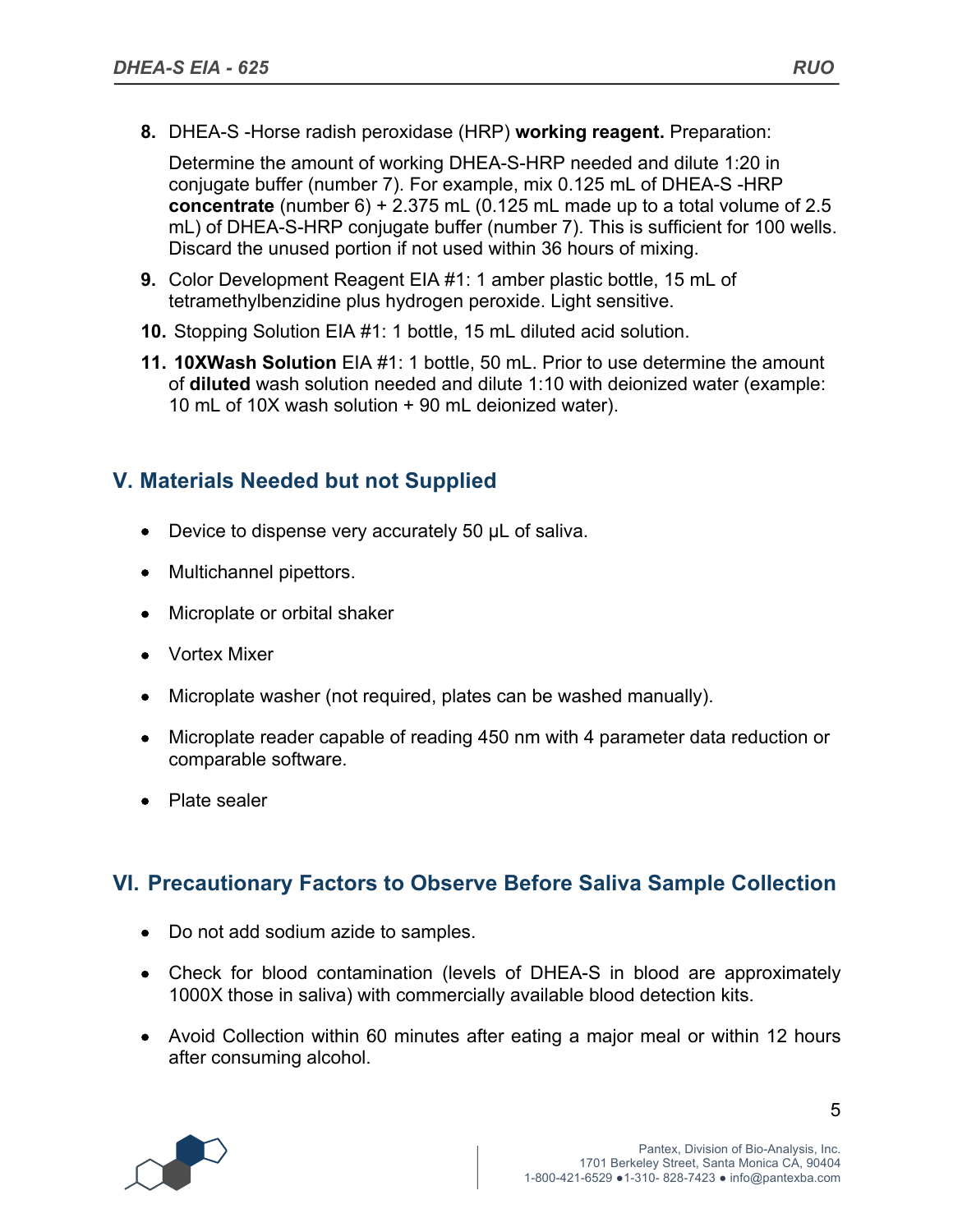**8.** DHEA-S -Horse radish peroxidase (HRP) **working reagent.** Preparation:

Determine the amount of working DHEA-S-HRP needed and dilute 1:20 in conjugate buffer (number 7). For example, mix 0.125 mL of DHEA-S -HRP **concentrate** (number 6) + 2.375 mL (0.125 mL made up to a total volume of 2.5 mL) of DHEA-S-HRP conjugate buffer (number 7). This is sufficient for 100 wells. Discard the unused portion if not used within 36 hours of mixing.

- **9.** Color Development Reagent EIA #1: 1 amber plastic bottle, 15 mL of tetramethylbenzidine plus hydrogen peroxide. Light sensitive.
- **10.** Stopping Solution EIA #1: 1 bottle, 15 mL diluted acid solution.
- **11. 10XWash Solution** EIA #1: 1 bottle, 50 mL. Prior to use determine the amount of **diluted** wash solution needed and dilute 1:10 with deionized water (example: 10 mL of 10X wash solution + 90 mL deionized water).

### **V. Materials Needed but not Supplied**

- Device to dispense very accurately 50 µL of saliva.
- Multichannel pipettors.
- Microplate or orbital shaker
- Vortex Mixer
- Microplate washer (not required, plates can be washed manually).
- Microplate reader capable of reading 450 nm with 4 parameter data reduction or comparable software.
- Plate sealer

### **VI. Precautionary Factors to Observe Before Saliva Sample Collection**

- Do not add sodium azide to samples.
- Check for blood contamination (levels of DHEA-S in blood are approximately 1000X those in saliva) with commercially available blood detection kits.
- Avoid Collection within 60 minutes after eating a major meal or within 12 hours after consuming alcohol.

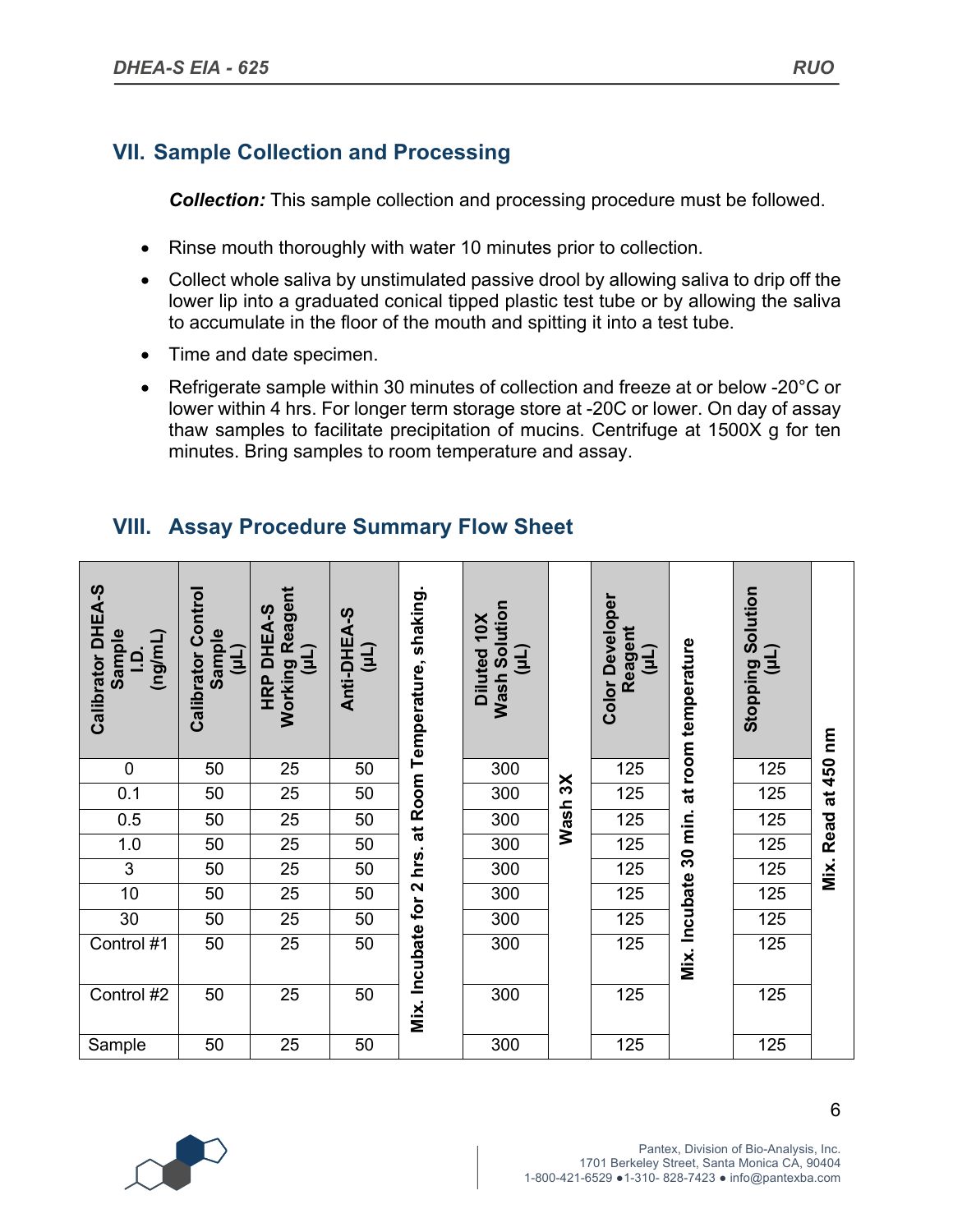# **VII. Sample Collection and Processing**

*Collection:* This sample collection and processing procedure must be followed.

- Rinse mouth thoroughly with water 10 minutes prior to collection.
- Collect whole saliva by unstimulated passive drool by allowing saliva to drip off the lower lip into a graduated conical tipped plastic test tube or by allowing the saliva to accumulate in the floor of the mouth and spitting it into a test tube.
- Time and date specimen.
- Refrigerate sample within 30 minutes of collection and freeze at or below -20°C or lower within 4 hrs. For longer term storage store at -20C or lower. On day of assay thaw samples to facilitate precipitation of mucins. Centrifuge at 1500X g for ten minutes. Bring samples to room temperature and assay.

#### Calibrator DHEA-S **Calibrator DHEA-S Calibrator Control Calibrator Control (µL) Working Reagent Mix. Incubate for 2 hrs. at Room Temperature, shaking. Solution Color Developer Color Developer Solution** HRP DHEA-S **HRP DHEA-S** Anti-DHEA-S **Anti-DHEA-S Diluted 10X** Diluted 10X **Reagent Sample Sample (ng/mL) Mix. Incubate 30 min. at room temperature (µL) (µL) (µL) (µL) (µL) I.D. Stopping Wash**  0 | 50 | 25 | 50 |  $\frac{1}{2}$  | 300 |  $\frac{1}{2}$  | 125 |  $\frac{1}{8}$  | 125 **Wash 3X**  $0.1$  | 50 | 25 | 50 | 02 | 300 |  $\frac{1}{2}$  | 125 |  $\frac{1}{6}$  | 125 0.5 50 25 50 300 125 125 1.0 50 25 50 300 125 125 3 | 50 | 25 | 50 |  $\frac{1}{2}$  | 300 | | 125 |  $\frac{1}{3}$  | 125  $10$  | 50 | 25 | 50 |  $\sim$  | 300 | | 125 |  $\overline{g}$  | 125 30 | 50 | 25 | 50 | $\frac{15}{4}$  | 300 | | 125 |  $\frac{1}{6}$  | 125 Control #1 | 50 | 25 | 50 | ब्रुं | 300 | | 125 | <sup>=</sup> | 125 Control #2 | 50 | 25 | 50 | <sup>ニ</sup> | 300 | | 125 | | 125 Sample | 50 | 25 | 50 | | 300 | | 125 | | 125

# **VIII. Assay Procedure Summary Flow Sheet**



**Mix. Read at 450 nm**

Read

Mix.

 $\tilde{\mathbf{g}}$ 

450  $\vec{a}$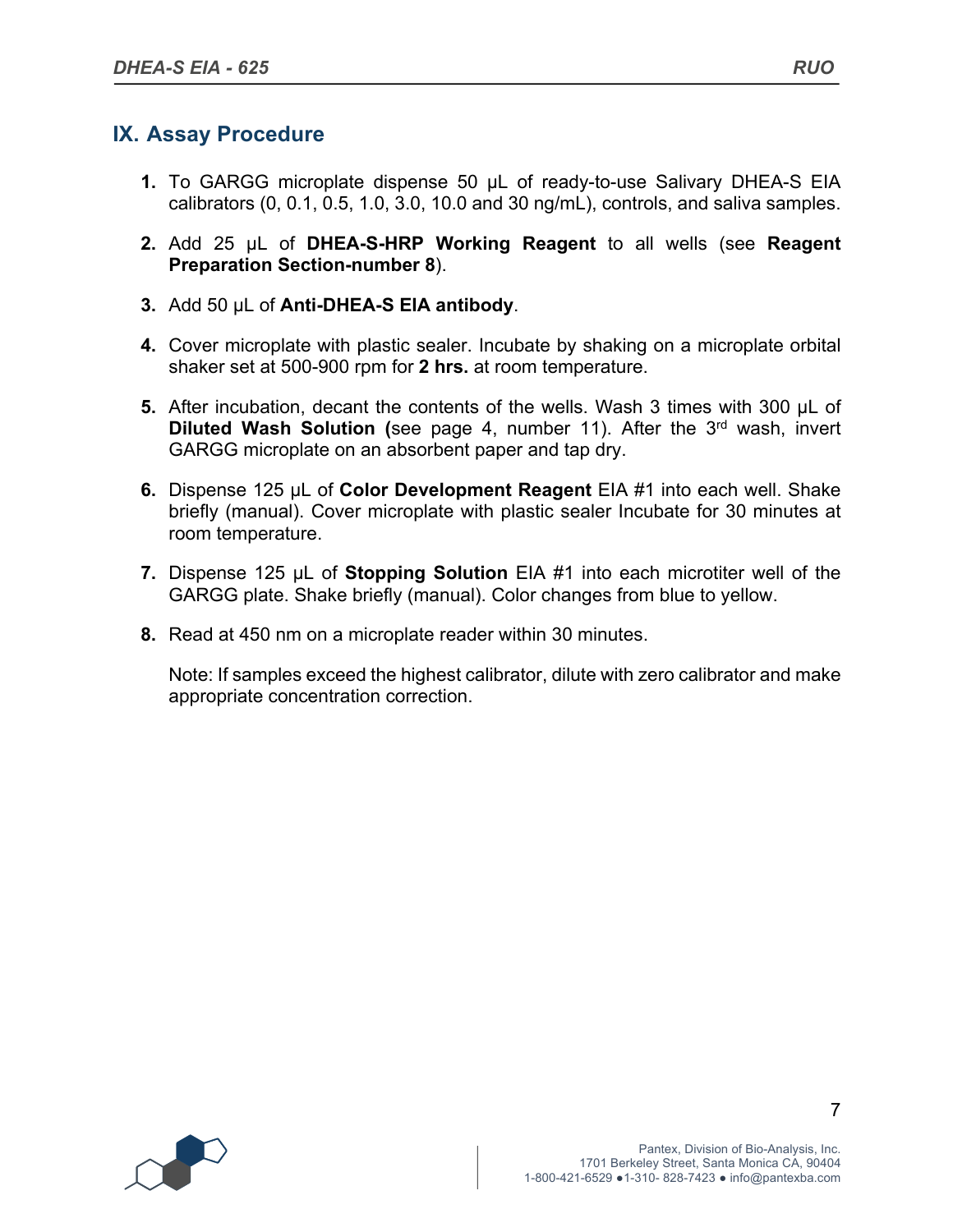#### **IX. Assay Procedure**

- **1.** To GARGG microplate dispense 50 µL of ready-to-use Salivary DHEA-S EIA calibrators (0, 0.1, 0.5, 1.0, 3.0, 10.0 and 30 ng/mL), controls, and saliva samples.
- **2.** Add 25 µL of **DHEA-S-HRP Working Reagent** to all wells (see **Reagent Preparation Section-number 8**).
- **3.** Add 50 µL of **Anti-DHEA-S EIA antibody**.
- **4.** Cover microplate with plastic sealer. Incubate by shaking on a microplate orbital shaker set at 500-900 rpm for **2 hrs.** at room temperature.
- **5.** After incubation, decant the contents of the wells. Wash 3 times with 300 µL of **Diluted Wash Solution (**see page 4, number 11). After the 3rd wash, invert GARGG microplate on an absorbent paper and tap dry.
- **6.** Dispense 125 µL of **Color Development Reagent** EIA #1 into each well. Shake briefly (manual). Cover microplate with plastic sealer Incubate for 30 minutes at room temperature.
- **7.** Dispense 125 µL of **Stopping Solution** EIA #1 into each microtiter well of the GARGG plate. Shake briefly (manual). Color changes from blue to yellow.
- **8.** Read at 450 nm on a microplate reader within 30 minutes.

Note: If samples exceed the highest calibrator, dilute with zero calibrator and make appropriate concentration correction.

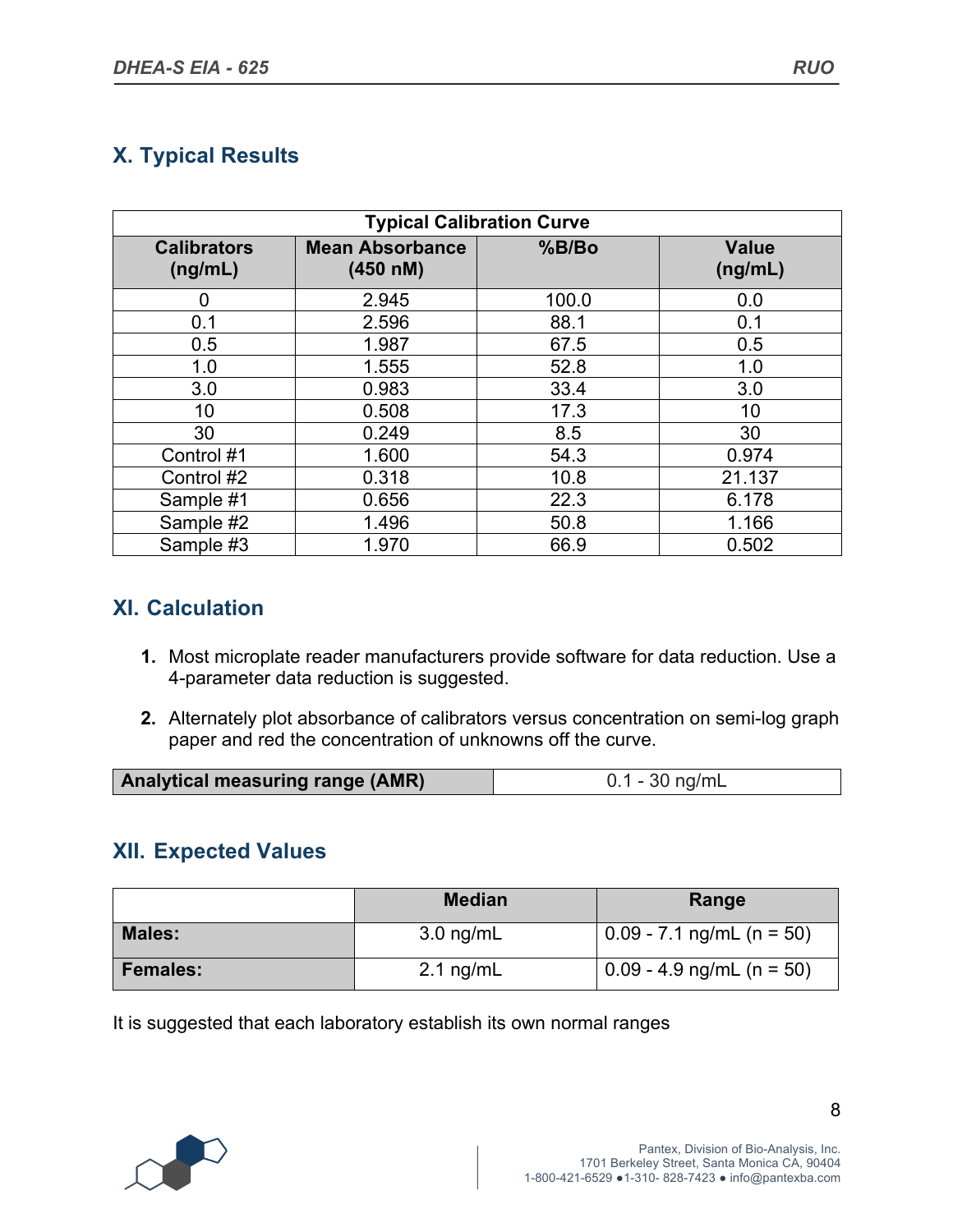# **X. Typical Results**

| <b>Typical Calibration Curve</b>                                    |       |       |                         |  |  |
|---------------------------------------------------------------------|-------|-------|-------------------------|--|--|
| <b>Mean Absorbance</b><br><b>Calibrators</b><br>(ng/mL)<br>(450 nM) |       | %B/Bo | <b>Value</b><br>(ng/mL) |  |  |
| 0                                                                   | 2.945 | 100.0 | 0.0                     |  |  |
| 0.1                                                                 | 2.596 | 88.1  | 0.1                     |  |  |
| 0.5                                                                 | 1.987 | 67.5  | 0.5                     |  |  |
| 1.0                                                                 | 1.555 | 52.8  | 1.0                     |  |  |
| 3.0                                                                 | 0.983 | 33.4  | 3.0                     |  |  |
| 10                                                                  | 0.508 | 17.3  | 10                      |  |  |
| 30                                                                  | 0.249 | 8.5   | 30                      |  |  |
| Control #1                                                          | 1.600 | 54.3  | 0.974                   |  |  |
| Control #2                                                          | 0.318 | 10.8  | 21.137                  |  |  |
| Sample #1                                                           | 0.656 | 22.3  | 6.178                   |  |  |
| Sample #2                                                           | 1.496 | 50.8  | 1.166                   |  |  |
| Sample #3                                                           | 1.970 | 66.9  | 0.502                   |  |  |

# **XI. Calculation**

- **1.** Most microplate reader manufacturers provide software for data reduction. Use a 4-parameter data reduction is suggested.
- **2.** Alternately plot absorbance of calibrators versus concentration on semi-log graph paper and red the concentration of unknowns off the curve.

| <b>Analytical measuring range (AMR)</b> | 0.1 - 30 ng/mL |
|-----------------------------------------|----------------|

#### **XII. Expected Values**

|                 | <b>Median</b>       | Range                       |
|-----------------|---------------------|-----------------------------|
| <b>Males:</b>   | $3.0$ ng/mL         | $0.09 - 7.1$ ng/mL (n = 50) |
| <b>Females:</b> | $2.1 \text{ ng/mL}$ | $0.09 - 4.9$ ng/mL (n = 50) |

It is suggested that each laboratory establish its own normal ranges

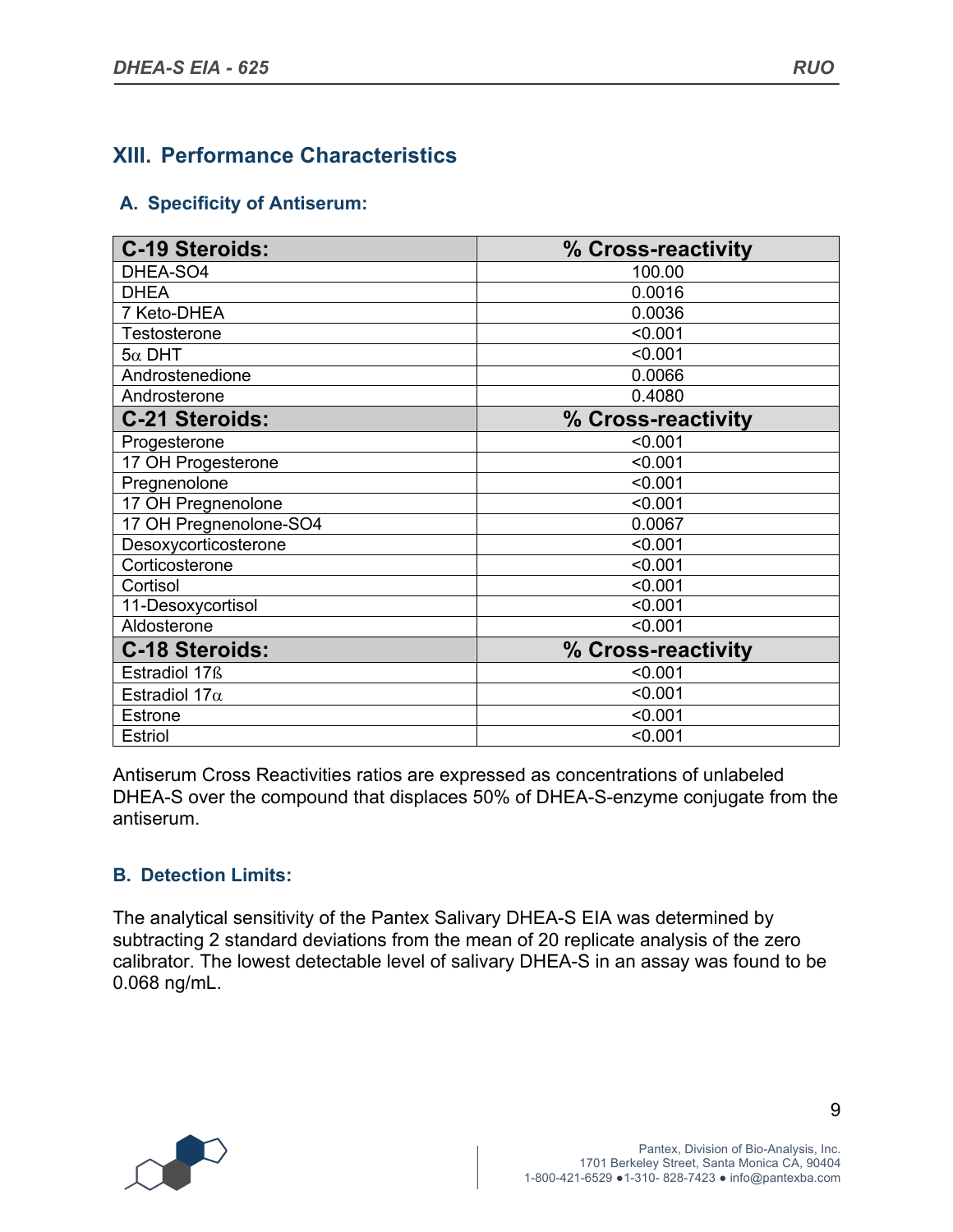### **XIII. Performance Characteristics**

#### **A. Specificity of Antiserum:**

| <b>C-19 Steroids:</b>  | % Cross-reactivity |
|------------------------|--------------------|
| DHEA-SO4               | 100.00             |
| <b>DHEA</b>            | 0.0016             |
| 7 Keto-DHEA            | 0.0036             |
| <b>Testosterone</b>    | < 0.001            |
| $5\alpha$ DHT          | < 0.001            |
| Androstenedione        | 0.0066             |
| Androsterone           | 0.4080             |
| <b>C-21 Steroids:</b>  | % Cross-reactivity |
| Progesterone           | < 0.001            |
| 17 OH Progesterone     | < 0.001            |
| Pregnenolone           | < 0.001            |
| 17 OH Pregnenolone     | < 0.001            |
| 17 OH Pregnenolone-SO4 | 0.0067             |
| Desoxycorticosterone   | < 0.001            |
| Corticosterone         | < 0.001            |
| Cortisol               | < 0.001            |
| 11-Desoxycortisol      | < 0.001            |
| Aldosterone            | < 0.001            |
| <b>C-18 Steroids:</b>  | % Cross-reactivity |
| Estradiol 17ß          | < 0.001            |
| Estradiol 17 $\alpha$  | < 0.001            |
| <b>Estrone</b>         | < 0.001            |
| <b>Estriol</b>         | < 0.001            |

Antiserum Cross Reactivities ratios are expressed as concentrations of unlabeled DHEA-S over the compound that displaces 50% of DHEA-S-enzyme conjugate from the antiserum.

#### **B. Detection Limits:**

The analytical sensitivity of the Pantex Salivary DHEA-S EIA was determined by subtracting 2 standard deviations from the mean of 20 replicate analysis of the zero calibrator. The lowest detectable level of salivary DHEA-S in an assay was found to be 0.068 ng/mL.

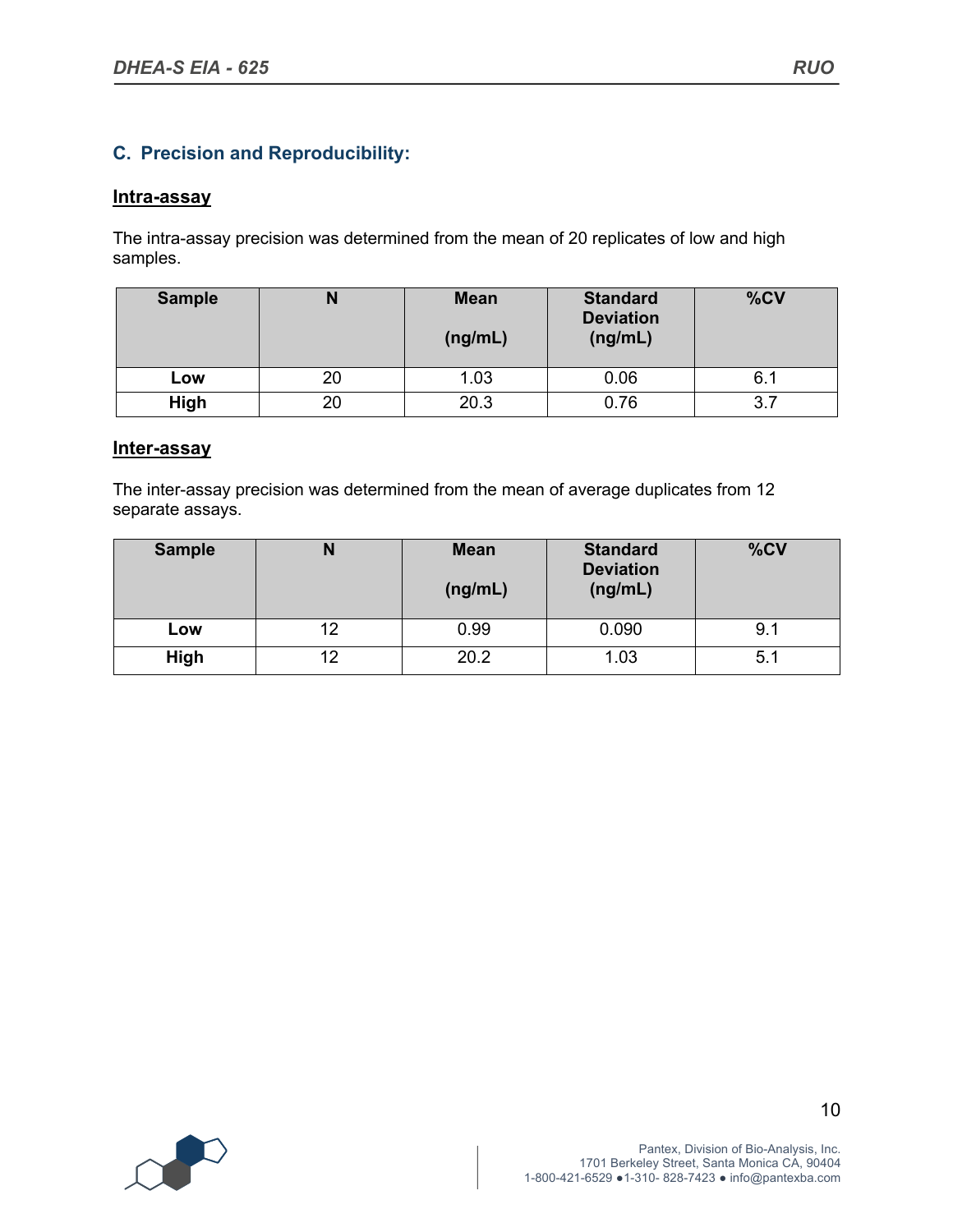#### **C. Precision and Reproducibility:**

#### **Intra-assay**

The intra-assay precision was determined from the mean of 20 replicates of low and high samples.

| <b>Sample</b> | N  | <b>Mean</b><br>(ng/mL) | <b>Standard</b><br><b>Deviation</b><br>(ng/mL) | %CV |
|---------------|----|------------------------|------------------------------------------------|-----|
| Low           | 20 | 1.03                   | 0.06                                           | 6.1 |
| High          | 20 | 20.3                   | 0.76                                           | 3.  |

#### **Inter-assay**

The inter-assay precision was determined from the mean of average duplicates from 12 separate assays.

| <b>Sample</b> | N  | <b>Mean</b><br>(ng/mL) | <b>Standard</b><br><b>Deviation</b><br>(ng/mL) | %CV  |
|---------------|----|------------------------|------------------------------------------------|------|
| Low           | 12 | 0.99                   | 0.090                                          | 9. . |
| High          | 12 | 20.2                   | 1.03                                           | 5.1  |

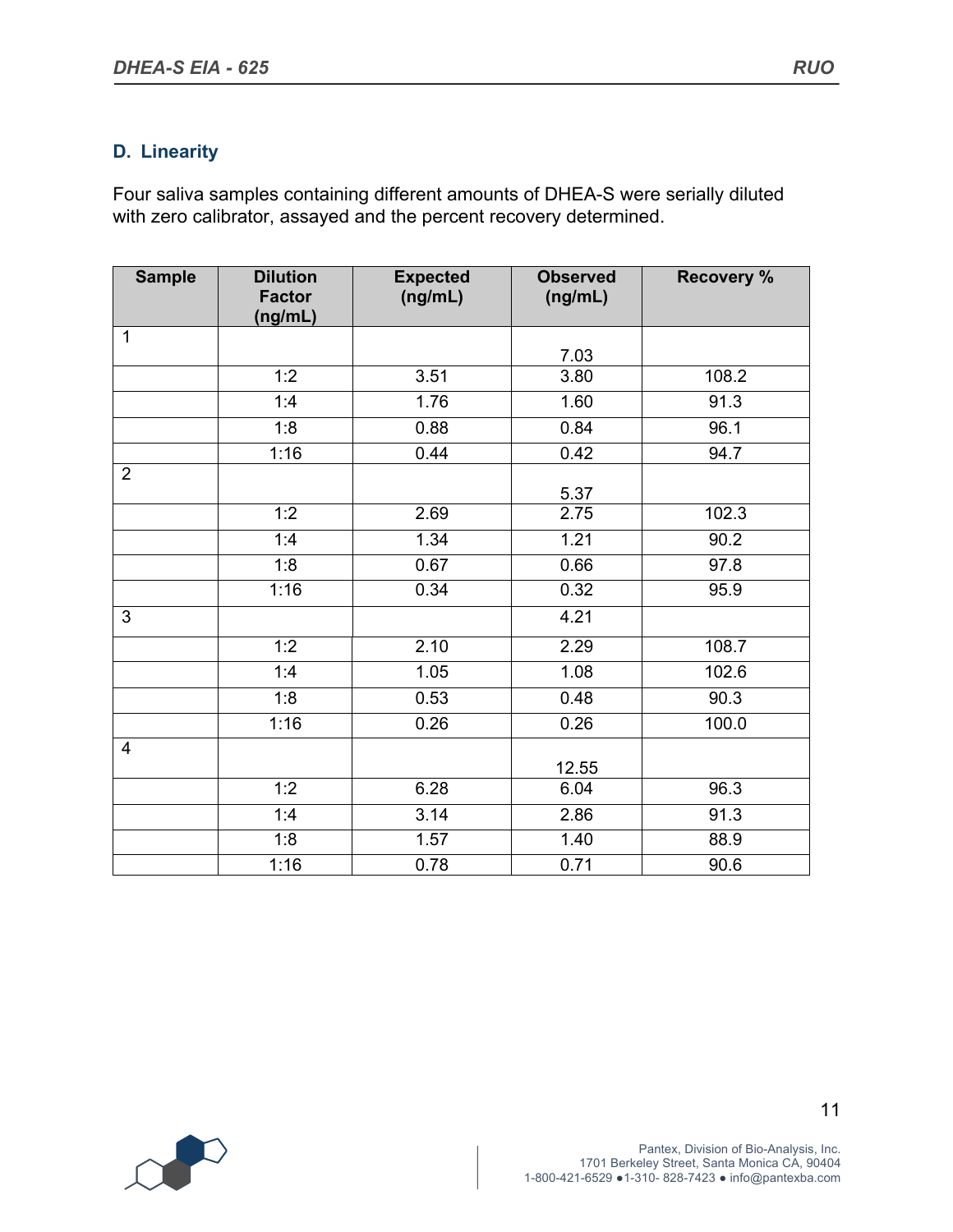#### **D. Linearity**

Four saliva samples containing different amounts of DHEA-S were serially diluted with zero calibrator, assayed and the percent recovery determined.

| <b>Sample</b>  | <b>Dilution</b><br><b>Factor</b><br>(ng/mL) | <b>Expected</b><br>(ng/mL) | <b>Observed</b><br>(ng/mL) | <b>Recovery %</b> |
|----------------|---------------------------------------------|----------------------------|----------------------------|-------------------|
| $\mathbf{1}$   |                                             |                            | 7.03                       |                   |
|                | 1:2                                         | 3.51                       | 3.80                       | 108.2             |
|                | 1:4                                         | 1.76                       | 1.60                       | 91.3              |
|                | 1:8                                         | 0.88                       | 0.84                       | 96.1              |
|                | 1:16                                        | 0.44                       | 0.42                       | 94.7              |
| $\overline{2}$ |                                             |                            | 5.37                       |                   |
|                | 1:2                                         | 2.69                       | 2.75                       | 102.3             |
|                | 1:4                                         | 1.34                       | 1.21                       | 90.2              |
|                | 1:8                                         | 0.67                       | 0.66                       | 97.8              |
|                | 1:16                                        | 0.34                       | 0.32                       | 95.9              |
| 3              |                                             |                            | 4.21                       |                   |
|                | 1:2                                         | 2.10                       | 2.29                       | 108.7             |
|                | 1:4                                         | 1.05                       | 1.08                       | 102.6             |
|                | 1:8                                         | 0.53                       | 0.48                       | 90.3              |
|                | 1:16                                        | 0.26                       | 0.26                       | 100.0             |
| 4              |                                             |                            | 12.55                      |                   |
|                | 1:2                                         | 6.28                       | 6.04                       | 96.3              |
|                | 1:4                                         | 3.14                       | 2.86                       | 91.3              |
|                | 1:8                                         | 1.57                       | 1.40                       | 88.9              |
|                | 1:16                                        | 0.78                       | 0.71                       | 90.6              |

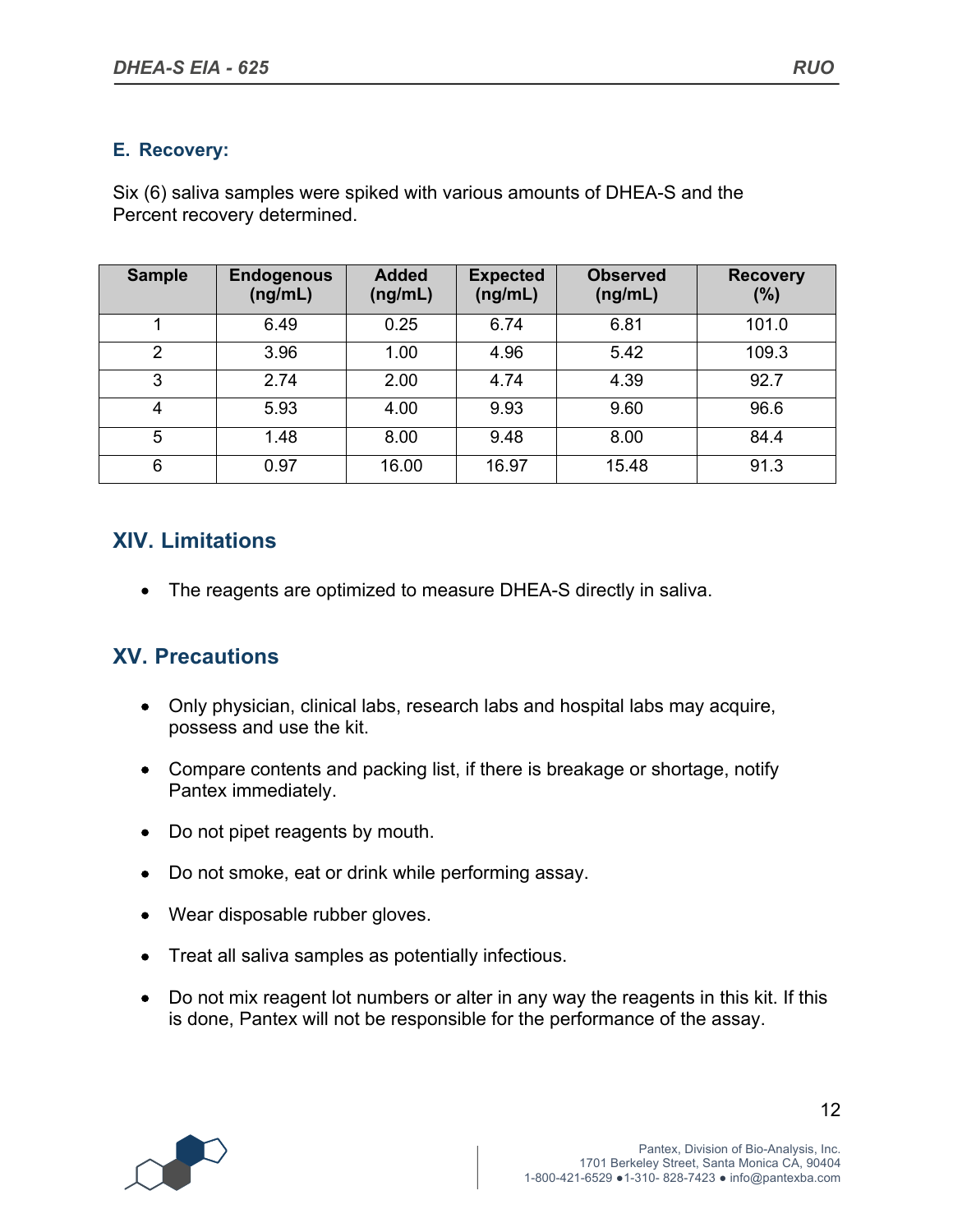#### **E. Recovery:**

Six (6) saliva samples were spiked with various amounts of DHEA-S and the Percent recovery determined.

| <b>Sample</b> | <b>Endogenous</b><br>(ng/mL) | <b>Added</b><br>(ng/mL) | <b>Expected</b><br>(ng/mL) | <b>Observed</b><br>(ng/mL) | <b>Recovery</b><br>(%) |
|---------------|------------------------------|-------------------------|----------------------------|----------------------------|------------------------|
|               | 6.49                         | 0.25                    | 6.74                       | 6.81                       | 101.0                  |
| $\mathcal{P}$ | 3.96                         | 1.00                    | 4.96                       | 5.42                       | 109.3                  |
| 3             | 2.74                         | 2.00                    | 4.74                       | 4.39                       | 92.7                   |
| 4             | 5.93                         | 4.00                    | 9.93                       | 9.60                       | 96.6                   |
| 5             | 1.48                         | 8.00                    | 9.48                       | 8.00                       | 84.4                   |
| 6             | 0.97                         | 16.00                   | 16.97                      | 15.48                      | 91.3                   |

### **XIV. Limitations**

• The reagents are optimized to measure DHEA-S directly in saliva.

#### **XV. Precautions**

- Only physician, clinical labs, research labs and hospital labs may acquire, possess and use the kit.
- Compare contents and packing list, if there is breakage or shortage, notify Pantex immediately.
- Do not pipet reagents by mouth.
- Do not smoke, eat or drink while performing assay.
- Wear disposable rubber gloves.
- Treat all saliva samples as potentially infectious.
- Do not mix reagent lot numbers or alter in any way the reagents in this kit. If this is done, Pantex will not be responsible for the performance of the assay.